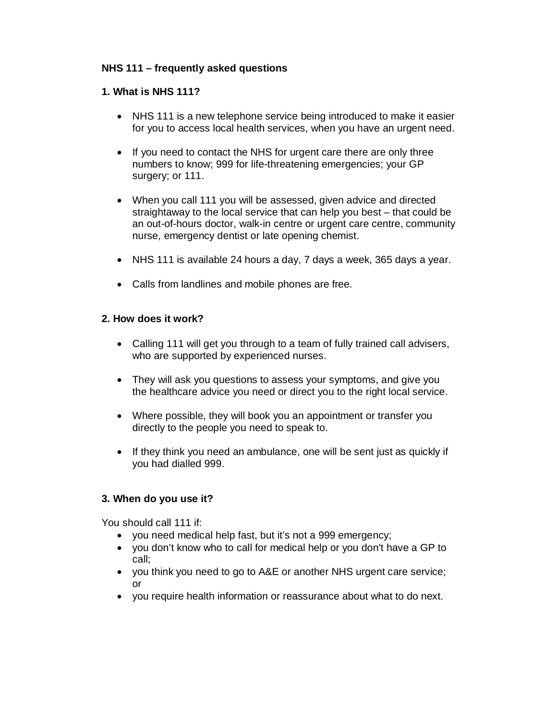# **NHS 111 – frequently asked questions**

### **1. What is NHS 111?**

- NHS 111 is a new telephone service being introduced to make it easier for you to access local health services, when you have an urgent need.
- If you need to contact the NHS for urgent care there are only three numbers to know; 999 for life-threatening emergencies; your GP surgery; or 111.
- When you call 111 you will be assessed, given advice and directed straightaway to the local service that can help you best – that could be an out-of-hours doctor, walk-in centre or urgent care centre, community nurse, emergency dentist or late opening chemist.
- NHS 111 is available 24 hours a day, 7 days a week, 365 days a year.
- Calls from landlines and mobile phones are free.

### **2. How does it work?**

- Calling 111 will get you through to a team of fully trained call advisers, who are supported by experienced nurses.
- They will ask you questions to assess your symptoms, and give you the healthcare advice you need or direct you to the right local service.
- Where possible, they will book you an appointment or transfer you directly to the people you need to speak to.
- If they think you need an ambulance, one will be sent just as quickly if you had dialled 999.

### **3. When do you use it?**

You should call 111 if:

- you need medical help fast, but it's not a 999 emergency;
- you don't know who to call for medical help or you don't have a GP to call;
- you think you need to go to A&E or another NHS urgent care service; or
- you require health information or reassurance about what to do next.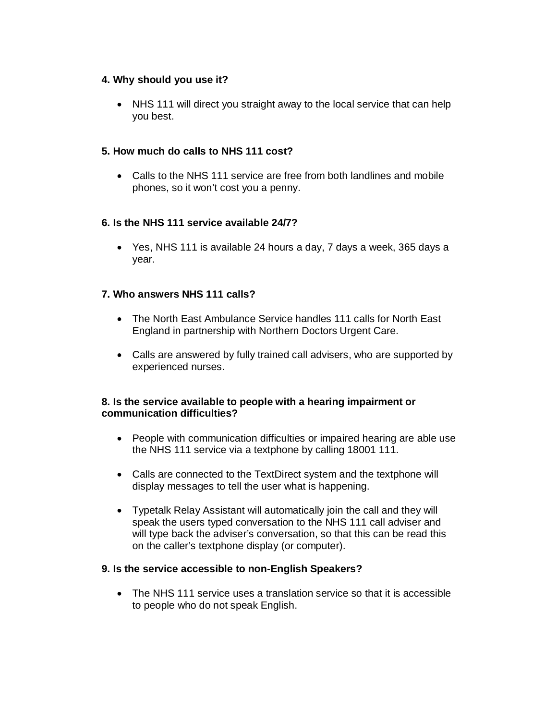### **4. Why should you use it?**

• NHS 111 will direct you straight away to the local service that can help you best.

# **5. How much do calls to NHS 111 cost?**

• Calls to the NHS 111 service are free from both landlines and mobile phones, so it won't cost you a penny.

# **6. Is the NHS 111 service available 24/7?**

• Yes, NHS 111 is available 24 hours a day, 7 days a week, 365 days a year.

# **7. Who answers NHS 111 calls?**

- The North East Ambulance Service handles 111 calls for North East England in partnership with Northern Doctors Urgent Care.
- Calls are answered by fully trained call advisers, who are supported by experienced nurses.

### **8. Is the service available to people with a hearing impairment or communication difficulties?**

- People with communication difficulties or impaired hearing are able use the NHS 111 service via a textphone by calling 18001 111.
- Calls are connected to the TextDirect system and the textphone will display messages to tell the user what is happening.
- Typetalk Relay Assistant will automatically join the call and they will speak the users typed conversation to the NHS 111 call adviser and will type back the adviser's conversation, so that this can be read this on the caller's textphone display (or computer).

### **9. Is the service accessible to non-English Speakers?**

• The NHS 111 service uses a translation service so that it is accessible to people who do not speak English.